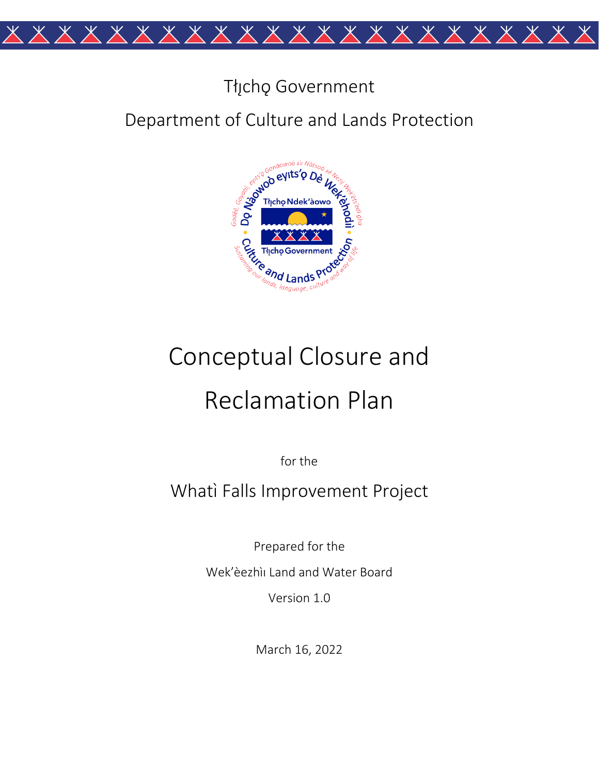

# Tłįcho Government

## Department of Culture and Lands Protection



# Conceptual Closure and **Reclamation Plan**

for the

Whati Falls Improvement Project

Prepared for the

Wek'èezhìi Land and Water Board

Version 1.0

March 16, 2022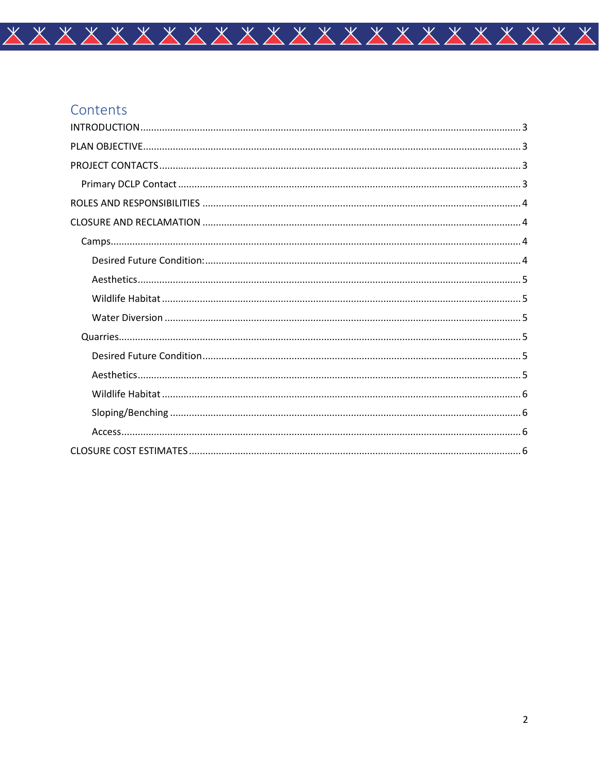## Contents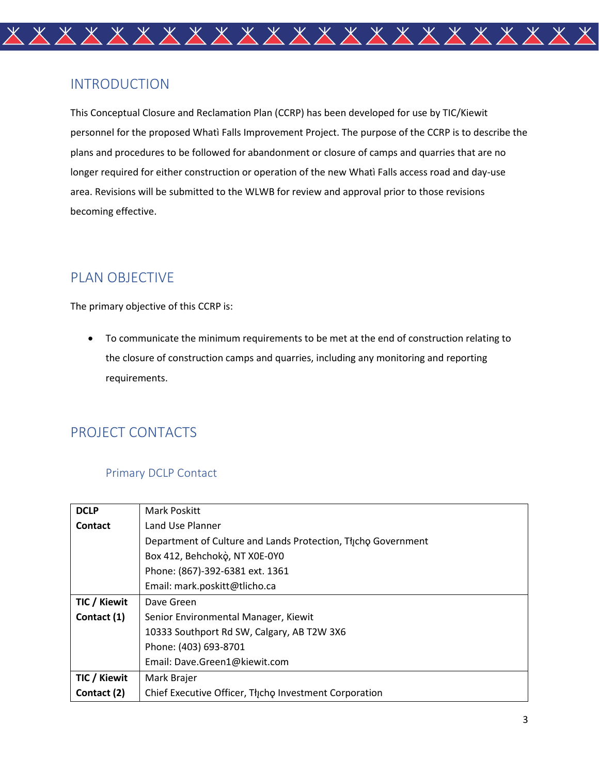

## <span id="page-2-0"></span>INTRODUCTION

This Conceptual Closure and Reclamation Plan (CCRP) has been developed for use by TIC/Kiewit personnel for the proposed Whatì Falls Improvement Project. The purpose of the CCRP is to describe the plans and procedures to be followed for abandonment or closure of camps and quarries that are no longer required for either construction or operation of the new Whatì Falls access road and day-use area. Revisions will be submitted to the WLWB for review and approval prior to those revisions becoming effective.

## <span id="page-2-1"></span>PLAN OBJECTIVE

The primary objective of this CCRP is:

• To communicate the minimum requirements to be met at the end of construction relating to the closure of construction camps and quarries, including any monitoring and reporting requirements.

## <span id="page-2-2"></span>PROJECT CONTACTS

#### Primary DCLP Contact

<span id="page-2-3"></span>

| <b>DCLP</b>  | Mark Poskitt                                                 |
|--------------|--------------------------------------------------------------|
| Contact      | Land Use Planner                                             |
|              | Department of Culture and Lands Protection, Thcho Government |
|              | Box 412, Behchokò, NT X0E-0Y0                                |
|              | Phone: (867)-392-6381 ext. 1361                              |
|              | Email: mark.poskitt@tlicho.ca                                |
| TIC / Kiewit | Dave Green                                                   |
| Contact (1)  | Senior Environmental Manager, Kiewit                         |
|              | 10333 Southport Rd SW, Calgary, AB T2W 3X6                   |
|              | Phone: (403) 693-8701                                        |
|              | Email: Dave.Green1@kiewit.com                                |
| TIC / Kiewit | Mark Brajer                                                  |
| Contact (2)  | Chief Executive Officer, Thcho Investment Corporation        |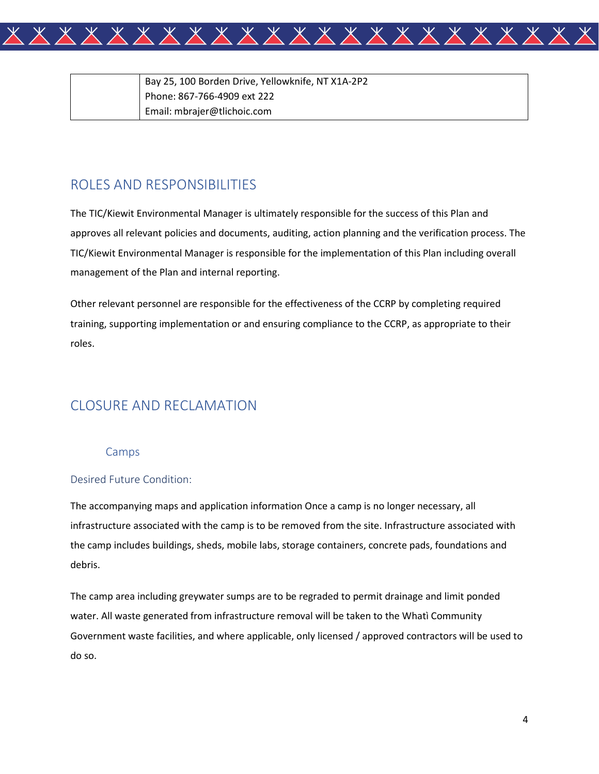

| Bay 25, 100 Borden Drive, Yellowknife, NT X1A-2P2 |
|---------------------------------------------------|
| Phone: 867-766-4909 ext 222                       |
| Email: mbrajer@tlichoic.com                       |

### <span id="page-3-0"></span>ROLES AND RESPONSIBILITIES

The TIC/Kiewit Environmental Manager is ultimately responsible for the success of this Plan and approves all relevant policies and documents, auditing, action planning and the verification process. The TIC/Kiewit Environmental Manager is responsible for the implementation of this Plan including overall management of the Plan and internal reporting.

Other relevant personnel are responsible for the effectiveness of the CCRP by completing required training, supporting implementation or and ensuring compliance to the CCRP, as appropriate to their roles.

## <span id="page-3-1"></span>CLOSURE AND RECLAMATION

#### Camps

#### <span id="page-3-3"></span><span id="page-3-2"></span>Desired Future Condition:

The accompanying maps and application information Once a camp is no longer necessary, all infrastructure associated with the camp is to be removed from the site. Infrastructure associated with the camp includes buildings, sheds, mobile labs, storage containers, concrete pads, foundations and debris.

The camp area including greywater sumps are to be regraded to permit drainage and limit ponded water. All waste generated from infrastructure removal will be taken to the Whatì Community Government waste facilities, and where applicable, only licensed / approved contractors will be used to do so.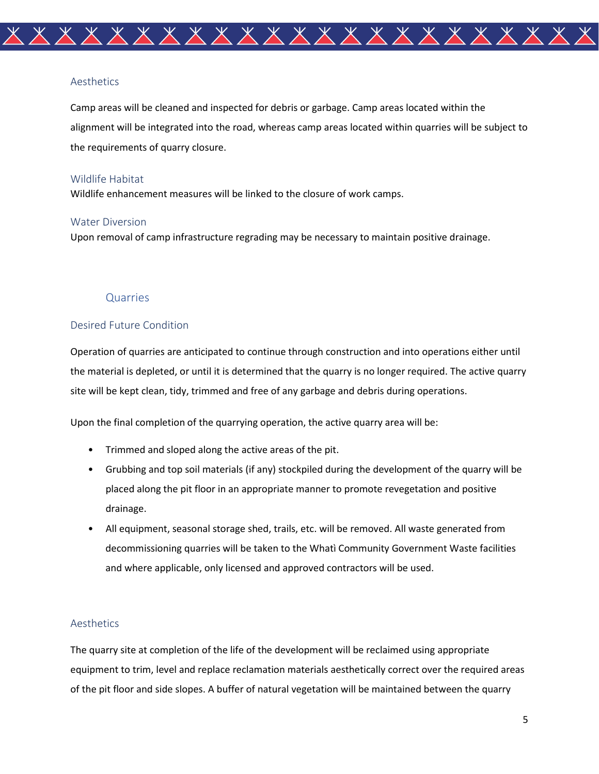

#### <span id="page-4-0"></span>Aesthetics

Camp areas will be cleaned and inspected for debris or garbage. Camp areas located within the alignment will be integrated into the road, whereas camp areas located within quarries will be subject to the requirements of quarry closure.

#### <span id="page-4-1"></span>Wildlife Habitat

Wildlife enhancement measures will be linked to the closure of work camps.

#### <span id="page-4-2"></span>Water Diversion

Upon removal of camp infrastructure regrading may be necessary to maintain positive drainage.

#### Quarries

#### <span id="page-4-4"></span><span id="page-4-3"></span>Desired Future Condition

Operation of quarries are anticipated to continue through construction and into operations either until the material is depleted, or until it is determined that the quarry is no longer required. The active quarry site will be kept clean, tidy, trimmed and free of any garbage and debris during operations.

Upon the final completion of the quarrying operation, the active quarry area will be:

- Trimmed and sloped along the active areas of the pit.
- Grubbing and top soil materials (if any) stockpiled during the development of the quarry will be placed along the pit floor in an appropriate manner to promote revegetation and positive drainage.
- All equipment, seasonal storage shed, trails, etc. will be removed. All waste generated from decommissioning quarries will be taken to the Whatì Community Government Waste facilities and where applicable, only licensed and approved contractors will be used.

#### <span id="page-4-5"></span>Aesthetics

The quarry site at completion of the life of the development will be reclaimed using appropriate equipment to trim, level and replace reclamation materials aesthetically correct over the required areas of the pit floor and side slopes. A buffer of natural vegetation will be maintained between the quarry